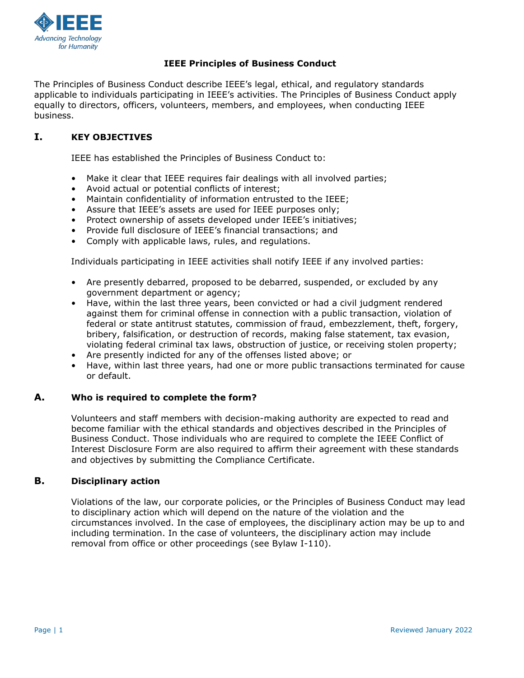

# **IEEE Principles of Business Conduct**

The Principles of Business Conduct describe IEEE's legal, ethical, and regulatory standards applicable to individuals participating in IEEE's activities. The Principles of Business Conduct apply equally to directors, officers, volunteers, members, and employees, when conducting IEEE business.

# **I. KEY OBJECTIVES**

IEEE has established the Principles of Business Conduct to:

- Make it clear that IEEE requires fair dealings with all involved parties;
- Avoid actual or potential conflicts of interest;
- Maintain confidentiality of information entrusted to the IEEE;
- Assure that IEEE's assets are used for IEEE purposes only;
- Protect ownership of assets developed under IEEE's initiatives;
- Provide full disclosure of IEEE's financial transactions; and
- Comply with applicable laws, rules, and regulations.

Individuals participating in IEEE activities shall notify IEEE if any involved parties:

- Are presently debarred, proposed to be debarred, suspended, or excluded by any government department or agency;
- Have, within the last three years, been convicted or had a civil judgment rendered against them for criminal offense in connection with a public transaction, violation of federal or state antitrust statutes, commission of fraud, embezzlement, theft, forgery, bribery, falsification, or destruction of records, making false statement, tax evasion, violating federal criminal tax laws, obstruction of justice, or receiving stolen property;
- Are presently indicted for any of the offenses listed above; or
- Have, within last three years, had one or more public transactions terminated for cause or default.

### **A. Who is required to complete the form?**

Volunteers and staff members with decision-making authority are expected to read and become familiar with the ethical standards and objectives described in the Principles of Business Conduct. Those individuals who are required to complete the IEEE Conflict of Interest Disclosure Form are also required to affirm their agreement with these standards and objectives by submitting the Compliance Certificate.

### **B. Disciplinary action**

Violations of the law, our corporate policies, or the Principles of Business Conduct may lead to disciplinary action which will depend on the nature of the violation and the circumstances involved. In the case of employees, the disciplinary action may be up to and including termination. In the case of volunteers, the disciplinary action may include removal from office or other proceedings (see Bylaw I-110).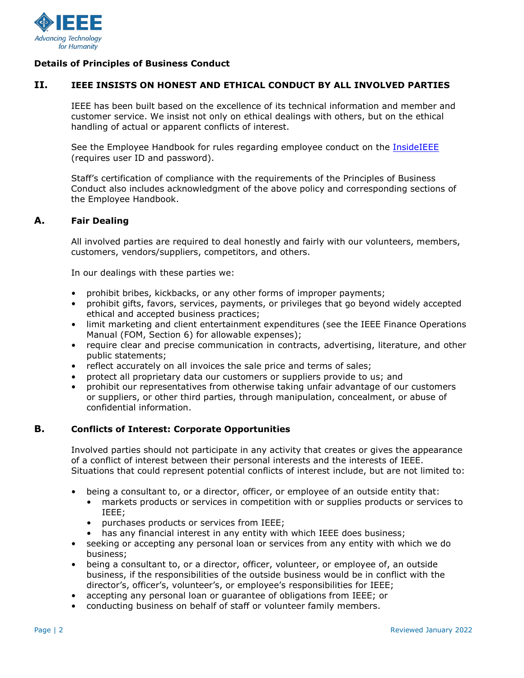

# **Details of Principles of Business Conduct**

# **II. IEEE INSISTS ON HONEST AND ETHICAL CONDUCT BY ALL INVOLVED PARTIES**

IEEE has been built based on the excellence of its technical information and member and customer service. We insist not only on ethical dealings with others, but on the ethical handling of actual or apparent conflicts of interest.

See the Employee Handbook for rules regarding employee conduct on the [InsideIEEE](https://17ieee.sharepoint.com/sites/HumanResources/SitePages/IEEE-Employee-Handbook-Introduction-and-Table-of-Contents.aspx) (requires user ID and password).

Staff's certification of compliance with the requirements of the Principles of Business Conduct also includes acknowledgment of the above policy and corresponding sections of the Employee Handbook.

#### **A. Fair Dealing**

All involved parties are required to deal honestly and fairly with our volunteers, members, customers, vendors/suppliers, competitors, and others.

In our dealings with these parties we:

- prohibit bribes, kickbacks, or any other forms of improper payments;
- prohibit gifts, favors, services, payments, or privileges that go beyond widely accepted ethical and accepted business practices;
- limit marketing and client entertainment expenditures (see the IEEE Finance Operations Manual (FOM, Section 6) for allowable expenses);
- require clear and precise communication in contracts, advertising, literature, and other public statements;
- reflect accurately on all invoices the sale price and terms of sales;
- protect all proprietary data our customers or suppliers provide to us; and
- prohibit our representatives from otherwise taking unfair advantage of our customers or suppliers, or other third parties, through manipulation, concealment, or abuse of confidential information.

# **B. Conflicts of Interest: Corporate Opportunities**

Involved parties should not participate in any activity that creates or gives the appearance of a conflict of interest between their personal interests and the interests of IEEE. Situations that could represent potential conflicts of interest include, but are not limited to:

- being a consultant to, or a director, officer, or employee of an outside entity that:
	- markets products or services in competition with or supplies products or services to IEEE;
	- purchases products or services from IEEE;
	- has any financial interest in any entity with which IEEE does business;
- seeking or accepting any personal loan or services from any entity with which we do business;
- being a consultant to, or a director, officer, volunteer, or employee of, an outside business, if the responsibilities of the outside business would be in conflict with the director's, officer's, volunteer's, or employee's responsibilities for IEEE;
- accepting any personal loan or guarantee of obligations from IEEE; or
- conducting business on behalf of staff or volunteer family members.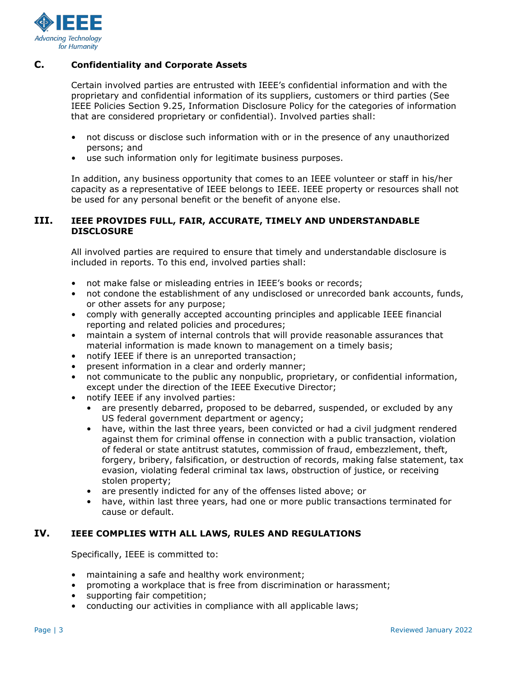

# **C. Confidentiality and Corporate Assets**

Certain involved parties are entrusted with IEEE's confidential information and with the proprietary and confidential information of its suppliers, customers or third parties (See IEEE Policies Section 9.25, Information Disclosure Policy for the categories of information that are considered proprietary or confidential). Involved parties shall:

- not discuss or disclose such information with or in the presence of any unauthorized persons; and
- use such information only for legitimate business purposes.

In addition, any business opportunity that comes to an IEEE volunteer or staff in his/her capacity as a representative of IEEE belongs to IEEE. IEEE property or resources shall not be used for any personal benefit or the benefit of anyone else.

## **III. IEEE PROVIDES FULL, FAIR, ACCURATE, TIMELY AND UNDERSTANDABLE DISCLOSURE**

All involved parties are required to ensure that timely and understandable disclosure is included in reports. To this end, involved parties shall:

- not make false or misleading entries in IEEE's books or records;
- not condone the establishment of any undisclosed or unrecorded bank accounts, funds, or other assets for any purpose;
- comply with generally accepted accounting principles and applicable IEEE financial reporting and related policies and procedures;
- maintain a system of internal controls that will provide reasonable assurances that material information is made known to management on a timely basis;
- notify IEEE if there is an unreported transaction;
- present information in a clear and orderly manner;
- not communicate to the public any nonpublic, proprietary, or confidential information, except under the direction of the IEEE Executive Director;
- notify IEEE if any involved parties:
	- are presently debarred, proposed to be debarred, suspended, or excluded by any US federal government department or agency;
	- have, within the last three years, been convicted or had a civil judgment rendered against them for criminal offense in connection with a public transaction, violation of federal or state antitrust statutes, commission of fraud, embezzlement, theft, forgery, bribery, falsification, or destruction of records, making false statement, tax evasion, violating federal criminal tax laws, obstruction of justice, or receiving stolen property;
	- are presently indicted for any of the offenses listed above; or
	- have, within last three years, had one or more public transactions terminated for cause or default.

# **IV. IEEE COMPLIES WITH ALL LAWS, RULES AND REGULATIONS**

Specifically, IEEE is committed to:

- maintaining a safe and healthy work environment;
- promoting a workplace that is free from discrimination or harassment;
- supporting fair competition;
- conducting our activities in compliance with all applicable laws;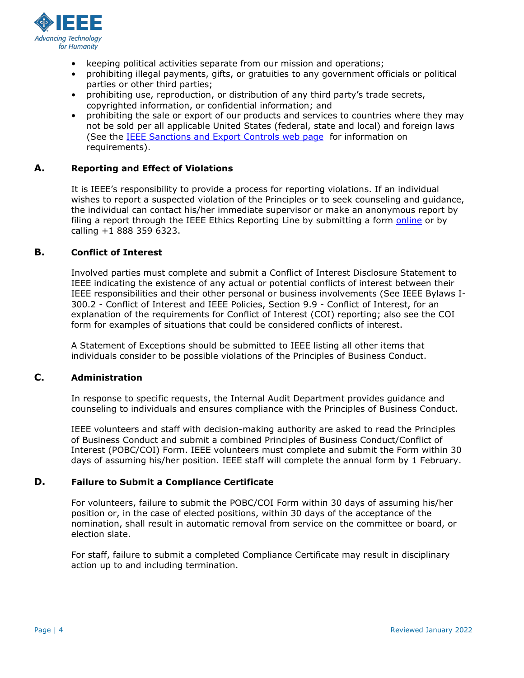

- keeping political activities separate from our mission and operations;
- prohibiting illegal payments, gifts, or gratuities to any government officials or political parties or other third parties;
- prohibiting use, reproduction, or distribution of any third party's trade secrets, copyrighted information, or confidential information; and
- prohibiting the sale or export of our products and services to countries where they may not be sold per all applicable United States (federal, state and local) and foreign laws (See [the](https://www.ieee.org/about/corporate/compliance/legal/index.html) [IEEE Sanctions and Export Controls web page](https://legal.ieee.org/compliance/ofac) [f](https://www.ieee.org/about/corporate/compliance/legal/index.html)or information on requirements).

# **A. Reporting and Effect of Violations**

It is IEEE's responsibility to provide a process for reporting violations. If an individual wishes to report a suspected violation of the Principles or to seek counseling and guidance, the individual can contact his/her immediate supervisor or make an anonymous report by filing a report through the IEEE Ethics Reporting Line by submitting a form [online](https://secure.ethicspoint.com/domain/en/report_custom.asp?clientid=20410) or by calling +1 888 359 6323.

### **B. Conflict of Interest**

Involved parties must complete and submit a Conflict of Interest Disclosure Statement to IEEE indicating the existence of any actual or potential conflicts of interest between their IEEE responsibilities and their other personal or business involvements (See IEEE Bylaws I-300.2 - Conflict of Interest and IEEE Policies, Section 9.9 - Conflict of Interest, for an explanation of the requirements for Conflict of Interest (COI) reporting; also see the COI form for examples of situations that could be considered conflicts of interest.

A Statement of Exceptions should be submitted to IEEE listing all other items that individuals consider to be possible violations of the Principles of Business Conduct.

# **C. Administration**

In response to specific requests, the Internal Audit Department provides guidance and counseling to individuals and ensures compliance with the Principles of Business Conduct.

IEEE volunteers and staff with decision-making authority are asked to read the Principles of Business Conduct and submit a combined Principles of Business Conduct/Conflict of Interest (POBC/COI) Form. IEEE volunteers must complete and submit the Form within 30 days of assuming his/her position. IEEE staff will complete the annual form by 1 February.

### **D. Failure to Submit a Compliance Certificate**

For volunteers, failure to submit the POBC/COI Form within 30 days of assuming his/her position or, in the case of elected positions, within 30 days of the acceptance of the nomination, shall result in automatic removal from service on the committee or board, or election slate.

For staff, failure to submit a completed Compliance Certificate may result in disciplinary action up to and including termination.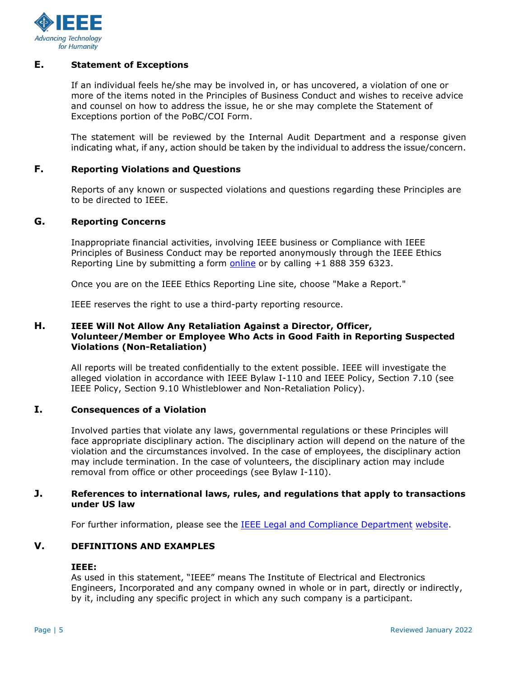

# **E. Statement of Exceptions**

If an individual feels he/she may be involved in, or has uncovered, a violation of one or more of the items noted in the Principles of Business Conduct and wishes to receive advice and counsel on how to address the issue, he or she may complete the Statement of Exceptions portion of the PoBC/COI Form.

The statement will be reviewed by the Internal Audit Department and a response given indicating what, if any, action should be taken by the individual to address the issue/concern.

### **F. Reporting Violations and Questions**

Reports of any known or suspected violations and questions regarding these Principles are to be directed to IEEE.

# **G. Reporting Concerns**

Inappropriate financial activities, involving IEEE business or Compliance with IEEE Principles of Business Conduct may be reported anonymously through the IEEE Ethics Reporting Line by submitting a form **online** or by calling +1 888 359 6323.

Once you are on the IEEE Ethics Reporting Line site, choose "Make a Report."

IEEE reserves the right to use a third-party reporting resource.

### **H. IEEE Will Not Allow Any Retaliation Against a Director, Officer, Volunteer/Member or Employee Who Acts in Good Faith in Reporting Suspected Violations (Non-Retaliation)**

All reports will be treated confidentially to the extent possible. IEEE will investigate the alleged violation in accordance with IEEE Bylaw I-110 and IEEE Policy, Section 7.10 (see IEEE Policy, Section 9.10 Whistleblower and Non-Retaliation Policy).

#### **I. Consequences of a Violation**

Involved parties that violate any laws, governmental regulations or these Principles will face appropriate disciplinary action. The disciplinary action will depend on the nature of the violation and the circumstances involved. In the case of employees, the disciplinary action may include termination. In the case of volunteers, the disciplinary action may include removal from office or other proceedings (see Bylaw I-110).

#### **J. References to international laws, rules, and regulations that apply to transactions under US law**

For further information, please see the [IEEE Legal and Compliance Department](https://www.ieee.org/about/corporate/compliance/legal/index.html) [website.](https://www.ieee.org/about/corporate/compliance/legal/index.html)

# **V. DEFINITIONS AND EXAMPLES**

#### **IEEE:**

As used in this statement, "IEEE" means The Institute of Electrical and Electronics Engineers, Incorporated and any company owned in whole or in part, directly or indirectly, by it, including any specific project in which any such company is a participant.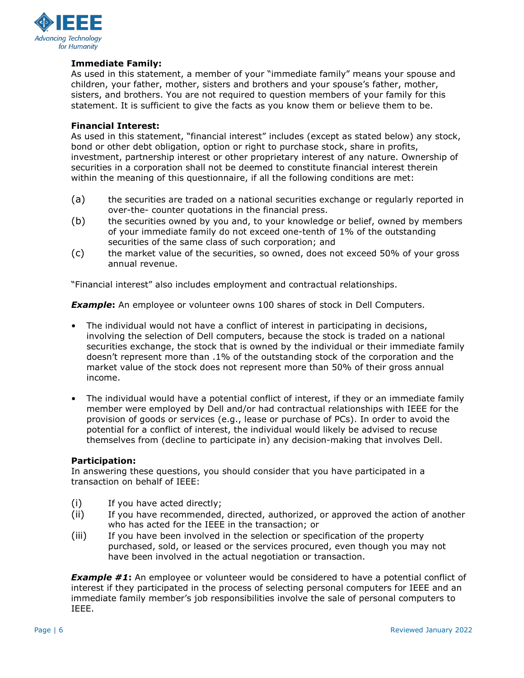

# **Immediate Family:**

As used in this statement, a member of your "immediate family" means your spouse and children, your father, mother, sisters and brothers and your spouse's father, mother, sisters, and brothers. You are not required to question members of your family for this statement. It is sufficient to give the facts as you know them or believe them to be.

#### **Financial Interest:**

As used in this statement, "financial interest" includes (except as stated below) any stock, bond or other debt obligation, option or right to purchase stock, share in profits, investment, partnership interest or other proprietary interest of any nature. Ownership of securities in a corporation shall not be deemed to constitute financial interest therein within the meaning of this questionnaire, if all the following conditions are met:

- (a) the securities are traded on a national securities exchange or regularly reported in over-the- counter quotations in the financial press.
- (b) the securities owned by you and, to your knowledge or belief, owned by members of your immediate family do not exceed one-tenth of 1% of the outstanding securities of the same class of such corporation; and
- (c) the market value of the securities, so owned, does not exceed 50% of your gross annual revenue.

"Financial interest" also includes employment and contractual relationships.

**Example:** An employee or volunteer owns 100 shares of stock in Dell Computers.

- The individual would not have a conflict of interest in participating in decisions, involving the selection of Dell computers, because the stock is traded on a national securities exchange, the stock that is owned by the individual or their immediate family doesn't represent more than .1% of the outstanding stock of the corporation and the market value of the stock does not represent more than 50% of their gross annual income.
- The individual would have a potential conflict of interest, if they or an immediate family member were employed by Dell and/or had contractual relationships with IEEE for the provision of goods or services (e.g., lease or purchase of PCs). In order to avoid the potential for a conflict of interest, the individual would likely be advised to recuse themselves from (decline to participate in) any decision-making that involves Dell.

#### **Participation:**

In answering these questions, you should consider that you have participated in a transaction on behalf of IEEE:

- (i) If you have acted directly;
- (ii) If you have recommended, directed, authorized, or approved the action of another who has acted for the IEEE in the transaction; or
- (iii) If you have been involved in the selection or specification of the property purchased, sold, or leased or the services procured, even though you may not have been involved in the actual negotiation or transaction.

**Example #1:** An employee or volunteer would be considered to have a potential conflict of interest if they participated in the process of selecting personal computers for IEEE and an immediate family member's job responsibilities involve the sale of personal computers to IEEE.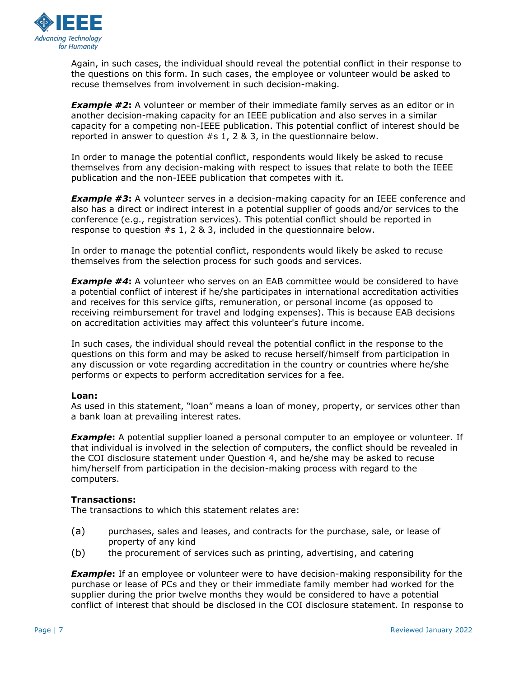

Again, in such cases, the individual should reveal the potential conflict in their response to the questions on this form. In such cases, the employee or volunteer would be asked to recuse themselves from involvement in such decision-making.

**Example #2**: A volunteer or member of their immediate family serves as an editor or in another decision-making capacity for an IEEE publication and also serves in a similar capacity for a competing non-IEEE publication. This potential conflict of interest should be reported in answer to question #s 1, 2 & 3, in the questionnaire below.

In order to manage the potential conflict, respondents would likely be asked to recuse themselves from any decision-making with respect to issues that relate to both the IEEE publication and the non-IEEE publication that competes with it.

**Example #3:** A volunteer serves in a decision-making capacity for an IEEE conference and also has a direct or indirect interest in a potential supplier of goods and/or services to the conference (e.g., registration services). This potential conflict should be reported in response to question #s 1, 2 & 3, included in the questionnaire below.

In order to manage the potential conflict, respondents would likely be asked to recuse themselves from the selection process for such goods and services.

**Example #4:** A volunteer who serves on an EAB committee would be considered to have a potential conflict of interest if he/she participates in international accreditation activities and receives for this service gifts, remuneration, or personal income (as opposed to receiving reimbursement for travel and lodging expenses). This is because EAB decisions on accreditation activities may affect this volunteer's future income.

In such cases, the individual should reveal the potential conflict in the response to the questions on this form and may be asked to recuse herself/himself from participation in any discussion or vote regarding accreditation in the country or countries where he/she performs or expects to perform accreditation services for a fee.

### **Loan:**

As used in this statement, "loan" means a loan of money, property, or services other than a bank loan at prevailing interest rates.

**Example:** A potential supplier loaned a personal computer to an employee or volunteer. If that individual is involved in the selection of computers, the conflict should be revealed in the COI disclosure statement under Question 4, and he/she may be asked to recuse him/herself from participation in the decision-making process with regard to the computers.

### **Transactions:**

The transactions to which this statement relates are:

- (a) purchases, sales and leases, and contracts for the purchase, sale, or lease of property of any kind
- (b) the procurement of services such as printing, advertising, and catering

**Example**: If an employee or volunteer were to have decision-making responsibility for the purchase or lease of PCs and they or their immediate family member had worked for the supplier during the prior twelve months they would be considered to have a potential conflict of interest that should be disclosed in the COI disclosure statement. In response to